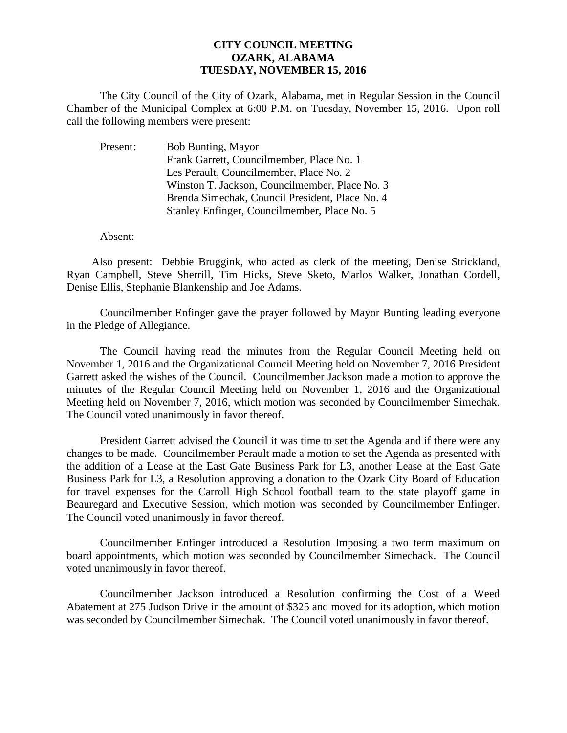## **CITY COUNCIL MEETING OZARK, ALABAMA TUESDAY, NOVEMBER 15, 2016**

The City Council of the City of Ozark, Alabama, met in Regular Session in the Council Chamber of the Municipal Complex at 6:00 P.M. on Tuesday, November 15, 2016. Upon roll call the following members were present:

| Present: | <b>Bob Bunting, Mayor</b>                       |
|----------|-------------------------------------------------|
|          | Frank Garrett, Councilmember, Place No. 1       |
|          | Les Perault, Councilmember, Place No. 2         |
|          | Winston T. Jackson, Councilmember, Place No. 3  |
|          | Brenda Simechak, Council President, Place No. 4 |
|          | Stanley Enfinger, Councilmember, Place No. 5    |

Absent:

Also present: Debbie Bruggink, who acted as clerk of the meeting, Denise Strickland, Ryan Campbell, Steve Sherrill, Tim Hicks, Steve Sketo, Marlos Walker, Jonathan Cordell, Denise Ellis, Stephanie Blankenship and Joe Adams.

Councilmember Enfinger gave the prayer followed by Mayor Bunting leading everyone in the Pledge of Allegiance.

The Council having read the minutes from the Regular Council Meeting held on November 1, 2016 and the Organizational Council Meeting held on November 7, 2016 President Garrett asked the wishes of the Council. Councilmember Jackson made a motion to approve the minutes of the Regular Council Meeting held on November 1, 2016 and the Organizational Meeting held on November 7, 2016, which motion was seconded by Councilmember Simechak. The Council voted unanimously in favor thereof.

President Garrett advised the Council it was time to set the Agenda and if there were any changes to be made. Councilmember Perault made a motion to set the Agenda as presented with the addition of a Lease at the East Gate Business Park for L3, another Lease at the East Gate Business Park for L3, a Resolution approving a donation to the Ozark City Board of Education for travel expenses for the Carroll High School football team to the state playoff game in Beauregard and Executive Session, which motion was seconded by Councilmember Enfinger. The Council voted unanimously in favor thereof.

 Councilmember Enfinger introduced a Resolution Imposing a two term maximum on board appointments, which motion was seconded by Councilmember Simechack. The Council voted unanimously in favor thereof.

Councilmember Jackson introduced a Resolution confirming the Cost of a Weed Abatement at 275 Judson Drive in the amount of \$325 and moved for its adoption, which motion was seconded by Councilmember Simechak. The Council voted unanimously in favor thereof.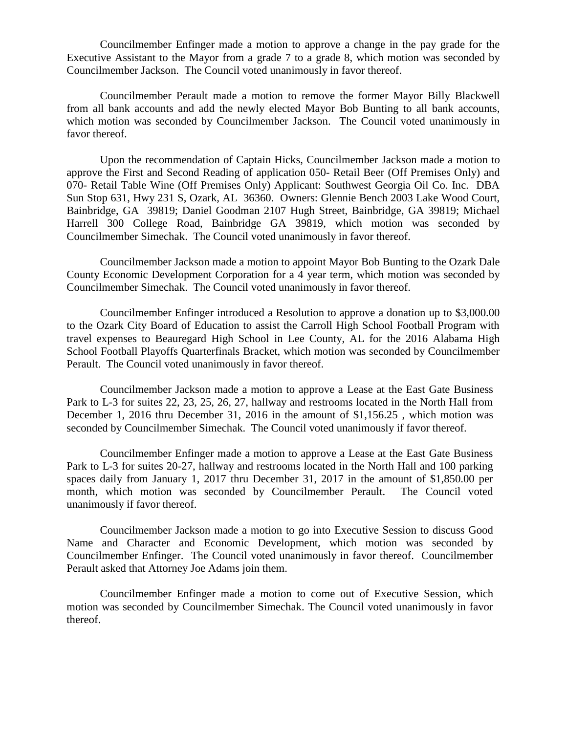Councilmember Enfinger made a motion to approve a change in the pay grade for the Executive Assistant to the Mayor from a grade 7 to a grade 8, which motion was seconded by Councilmember Jackson. The Council voted unanimously in favor thereof.

Councilmember Perault made a motion to remove the former Mayor Billy Blackwell from all bank accounts and add the newly elected Mayor Bob Bunting to all bank accounts, which motion was seconded by Councilmember Jackson. The Council voted unanimously in favor thereof.

Upon the recommendation of Captain Hicks, Councilmember Jackson made a motion to approve the First and Second Reading of application 050- Retail Beer (Off Premises Only) and 070- Retail Table Wine (Off Premises Only) Applicant: Southwest Georgia Oil Co. Inc. DBA Sun Stop 631, Hwy 231 S, Ozark, AL 36360. Owners: Glennie Bench 2003 Lake Wood Court, Bainbridge, GA 39819; Daniel Goodman 2107 Hugh Street, Bainbridge, GA 39819; Michael Harrell 300 College Road, Bainbridge GA 39819, which motion was seconded by Councilmember Simechak. The Council voted unanimously in favor thereof.

Councilmember Jackson made a motion to appoint Mayor Bob Bunting to the Ozark Dale County Economic Development Corporation for a 4 year term, which motion was seconded by Councilmember Simechak. The Council voted unanimously in favor thereof.

Councilmember Enfinger introduced a Resolution to approve a donation up to \$3,000.00 to the Ozark City Board of Education to assist the Carroll High School Football Program with travel expenses to Beauregard High School in Lee County, AL for the 2016 Alabama High School Football Playoffs Quarterfinals Bracket, which motion was seconded by Councilmember Perault. The Council voted unanimously in favor thereof.

Councilmember Jackson made a motion to approve a Lease at the East Gate Business Park to L-3 for suites 22, 23, 25, 26, 27, hallway and restrooms located in the North Hall from December 1, 2016 thru December 31, 2016 in the amount of \$1,156.25 , which motion was seconded by Councilmember Simechak. The Council voted unanimously if favor thereof.

Councilmember Enfinger made a motion to approve a Lease at the East Gate Business Park to L-3 for suites 20-27, hallway and restrooms located in the North Hall and 100 parking spaces daily from January 1, 2017 thru December 31, 2017 in the amount of \$1,850.00 per month, which motion was seconded by Councilmember Perault. The Council voted unanimously if favor thereof.

Councilmember Jackson made a motion to go into Executive Session to discuss Good Name and Character and Economic Development, which motion was seconded by Councilmember Enfinger. The Council voted unanimously in favor thereof. Councilmember Perault asked that Attorney Joe Adams join them.

Councilmember Enfinger made a motion to come out of Executive Session, which motion was seconded by Councilmember Simechak. The Council voted unanimously in favor thereof.